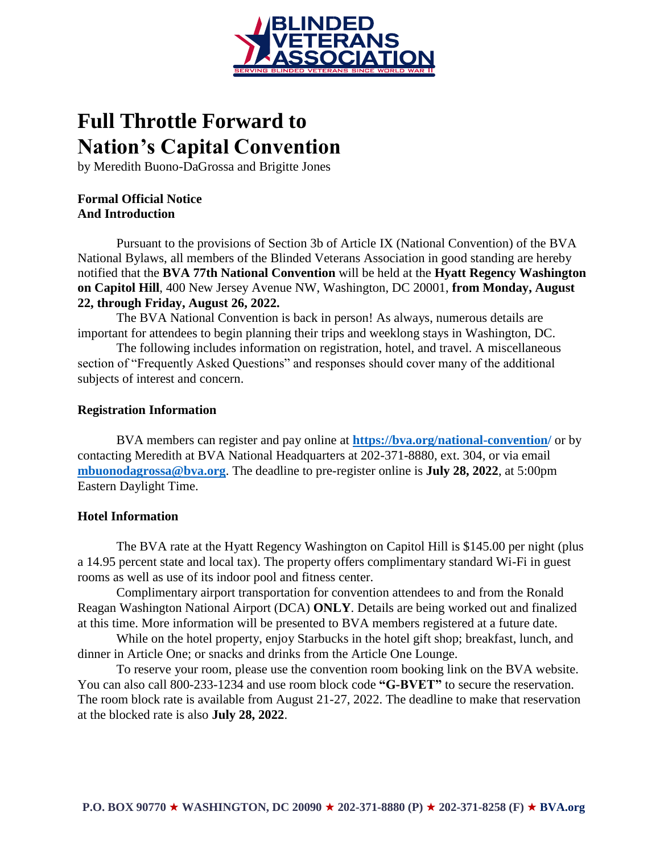

# **Full Throttle Forward to Nation's Capital Convention**

by Meredith Buono-DaGrossa and Brigitte Jones

#### **Formal Official Notice And Introduction**

Pursuant to the provisions of Section 3b of Article IX (National Convention) of the BVA National Bylaws, all members of the Blinded Veterans Association in good standing are hereby notified that the **BVA 77th National Convention** will be held at the **Hyatt Regency Washington on Capitol Hill**, 400 New Jersey Avenue NW, Washington, DC 20001, **from Monday, August 22, through Friday, August 26, 2022.**

The BVA National Convention is back in person! As always, numerous details are important for attendees to begin planning their trips and weeklong stays in Washington, DC.

The following includes information on registration, hotel, and travel. A miscellaneous section of "Frequently Asked Questions" and responses should cover many of the additional subjects of interest and concern.

### **Registration Information**

BVA members can register and pay online at **<https://bva.org/national-convention/>** or by contacting Meredith at BVA National Headquarters at 202-371-8880, ext. 304, or via email **[mbuonodagrossa@bva.org](mailto:mbuonodagrossa@bva.org)**. The deadline to pre-register online is **July 28, 2022**, at 5:00pm Eastern Daylight Time.

## **Hotel Information**

The BVA rate at the Hyatt Regency Washington on Capitol Hill is \$145.00 per night (plus a 14.95 percent state and local tax). The property offers complimentary standard Wi-Fi in guest rooms as well as use of its indoor pool and fitness center.

Complimentary airport transportation for convention attendees to and from the Ronald Reagan Washington National Airport (DCA) **ONLY**. Details are being worked out and finalized at this time. More information will be presented to BVA members registered at a future date.

While on the hotel property, enjoy Starbucks in the hotel gift shop; breakfast, lunch, and dinner in Article One; or snacks and drinks from the Article One Lounge.

To reserve your room, please use the convention room booking link on the BVA website. You can also call 800-233-1234 and use room block code **"G-BVET"** to secure the reservation. The room block rate is available from August 21-27, 2022. The deadline to make that reservation at the blocked rate is also **July 28, 2022**.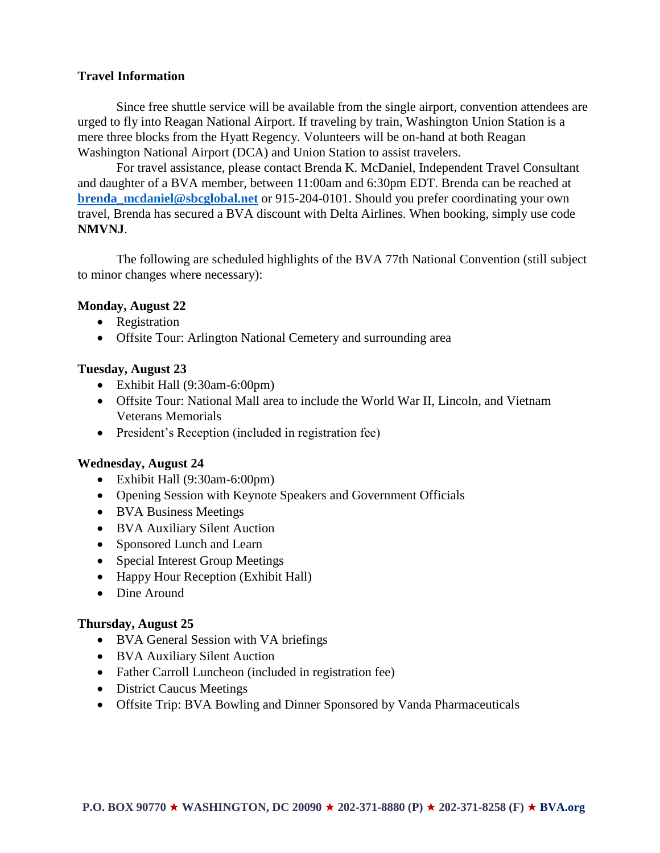#### **Travel Information**

Since free shuttle service will be available from the single airport, convention attendees are urged to fly into Reagan National Airport. If traveling by train, Washington Union Station is a mere three blocks from the Hyatt Regency. Volunteers will be on-hand at both Reagan Washington National Airport (DCA) and Union Station to assist travelers.

For travel assistance, please contact Brenda K. McDaniel, Independent Travel Consultant and daughter of a BVA member, between 11:00am and 6:30pm EDT. Brenda can be reached at **[brenda\\_mcdaniel@sbcglobal.net](mailto:brenda_mcdaniel@sbcglobal.net)** or 915-204-0101. Should you prefer coordinating your own travel, Brenda has secured a BVA discount with Delta Airlines. When booking, simply use code **NMVNJ**.

The following are scheduled highlights of the BVA 77th National Convention (still subject to minor changes where necessary):

### **Monday, August 22**

- Registration
- Offsite Tour: Arlington National Cemetery and surrounding area

## **Tuesday, August 23**

- Exhibit Hall (9:30am-6:00pm)
- Offsite Tour: National Mall area to include the World War II, Lincoln, and Vietnam Veterans Memorials
- President's Reception (included in registration fee)

#### **Wednesday, August 24**

- Exhibit Hall (9:30am-6:00pm)
- Opening Session with Keynote Speakers and Government Officials
- BVA Business Meetings
- BVA Auxiliary Silent Auction
- Sponsored Lunch and Learn
- Special Interest Group Meetings
- Happy Hour Reception (Exhibit Hall)
- Dine Around

#### **Thursday, August 25**

- BVA General Session with VA briefings
- BVA Auxiliary Silent Auction
- Father Carroll Luncheon (included in registration fee)
- District Caucus Meetings
- Offsite Trip: BVA Bowling and Dinner Sponsored by Vanda Pharmaceuticals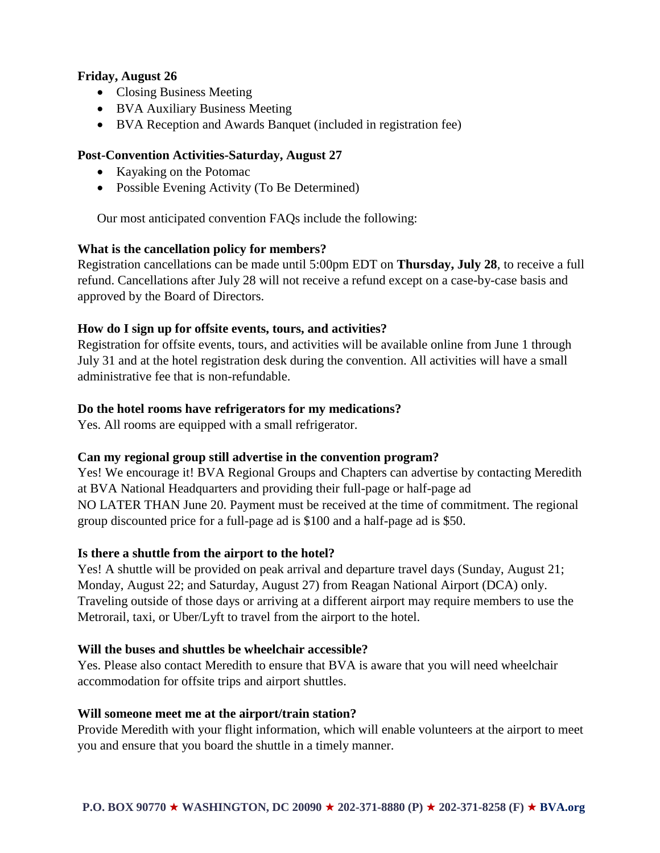### **Friday, August 26**

- Closing Business Meeting
- BVA Auxiliary Business Meeting
- BVA Reception and Awards Banquet (included in registration fee)

## **Post-Convention Activities-Saturday, August 27**

- Kayaking on the Potomac
- Possible Evening Activity (To Be Determined)

Our most anticipated convention FAQs include the following:

## **What is the cancellation policy for members?**

Registration cancellations can be made until 5:00pm EDT on **Thursday, July 28**, to receive a full refund. Cancellations after July 28 will not receive a refund except on a case-by-case basis and approved by the Board of Directors.

## **How do I sign up for offsite events, tours, and activities?**

Registration for offsite events, tours, and activities will be available online from June 1 through July 31 and at the hotel registration desk during the convention. All activities will have a small administrative fee that is non-refundable.

### **Do the hotel rooms have refrigerators for my medications?**

Yes. All rooms are equipped with a small refrigerator.

## **Can my regional group still advertise in the convention program?**

Yes! We encourage it! BVA Regional Groups and Chapters can advertise by contacting Meredith at BVA National Headquarters and providing their full-page or half-page ad NO LATER THAN June 20. Payment must be received at the time of commitment. The regional group discounted price for a full-page ad is \$100 and a half-page ad is \$50.

## **Is there a shuttle from the airport to the hotel?**

Yes! A shuttle will be provided on peak arrival and departure travel days (Sunday, August 21; Monday, August 22; and Saturday, August 27) from Reagan National Airport (DCA) only. Traveling outside of those days or arriving at a different airport may require members to use the Metrorail, taxi, or Uber/Lyft to travel from the airport to the hotel.

## **Will the buses and shuttles be wheelchair accessible?**

Yes. Please also contact Meredith to ensure that BVA is aware that you will need wheelchair accommodation for offsite trips and airport shuttles.

#### **Will someone meet me at the airport/train station?**

Provide Meredith with your flight information, which will enable volunteers at the airport to meet you and ensure that you board the shuttle in a timely manner.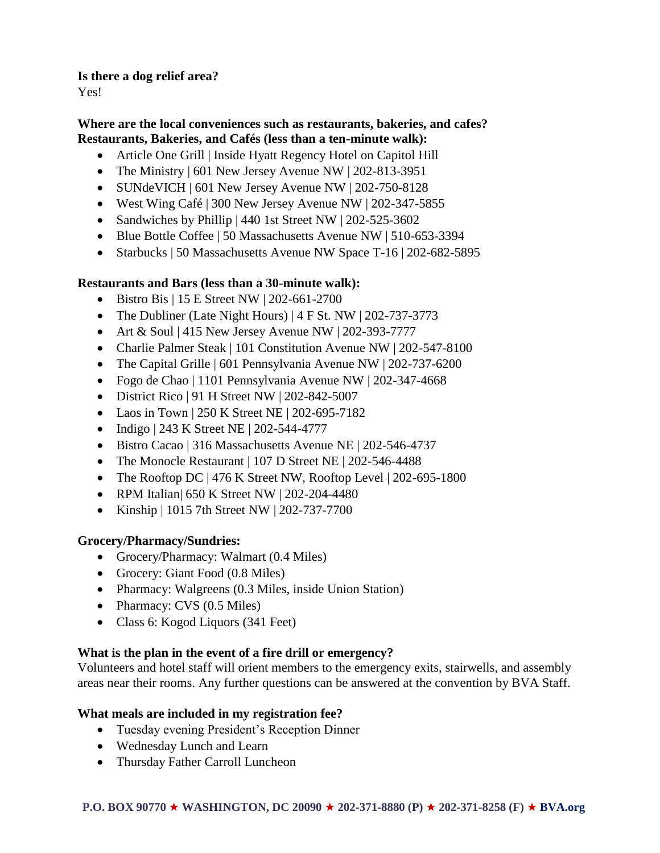## **Is there a dog relief area?**

Yes!

# **Where are the local conveniences such as restaurants, bakeries, and cafes? Restaurants, Bakeries, and Cafés (less than a ten-minute walk):**

- Article One Grill | Inside Hyatt Regency Hotel on Capitol Hill
- The Ministry | 601 New Jersey Avenue NW | 202-813-3951
- SUNdeVICH | 601 New Jersey Avenue NW | 202-750-8128
- West Wing Café | 300 New Jersey Avenue NW | 202-347-5855
- Sandwiches by Phillip | 440 1st Street NW | 202-525-3602
- Blue Bottle Coffee | 50 Massachusetts Avenue NW | 510-653-3394
- Starbucks | 50 Massachusetts Avenue NW Space T-16 | 202-682-5895

# **Restaurants and Bars (less than a 30-minute walk):**

- $\bullet$  Bistro Bis | 15 E Street NW | 202-661-2700
- The Dubliner (Late Night Hours) | 4 F St. NW | 202-737-3773
- Art & Soul | 415 New Jersey Avenue NW | 202-393-7777
- Charlie Palmer Steak | 101 Constitution Avenue NW | 202-547-8100
- The Capital Grille | 601 Pennsylvania Avenue NW | 202-737-6200
- Fogo de Chao | 1101 Pennsylvania Avenue NW | 202-347-4668
- District Rico | 91 H Street NW | 202-842-5007
- Laos in Town | 250 K Street NE | 202-695-7182
- Indigo | 243 K Street NE | 202-544-4777
- Bistro Cacao | 316 Massachusetts Avenue NE | 202-546-4737
- The Monocle Restaurant | 107 D Street NE | 202-546-4488
- The Rooftop DC | 476 K Street NW, Rooftop Level | 202-695-1800
- RPM Italian 650 K Street NW | 202-204-4480
- Kinship | 1015 7th Street NW | 202-737-7700

# **Grocery/Pharmacy/Sundries:**

- Grocery/Pharmacy: Walmart (0.4 Miles)
- Grocery: Giant Food (0.8 Miles)
- Pharmacy: Walgreens (0.3 Miles, inside Union Station)
- Pharmacy: CVS (0.5 Miles)
- Class 6: Kogod Liquors (341 Feet)

# **What is the plan in the event of a fire drill or emergency?**

Volunteers and hotel staff will orient members to the emergency exits, stairwells, and assembly areas near their rooms. Any further questions can be answered at the convention by BVA Staff.

# **What meals are included in my registration fee?**

- Tuesday evening President's Reception Dinner
- Wednesday Lunch and Learn
- Thursday Father Carroll Luncheon